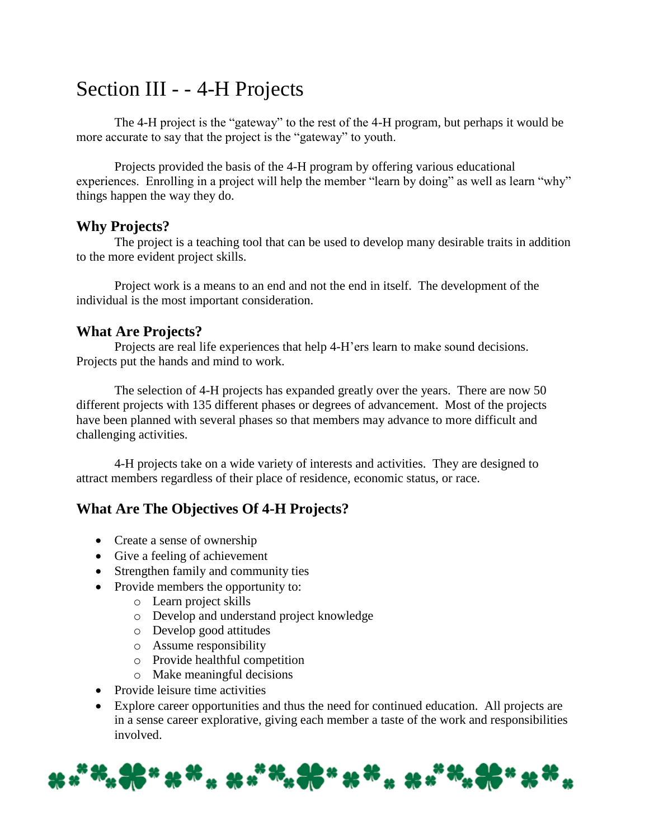# Section III - - 4-H Projects

The 4-H project is the "gateway" to the rest of the 4-H program, but perhaps it would be more accurate to say that the project is the "gateway" to youth.

Projects provided the basis of the 4-H program by offering various educational experiences. Enrolling in a project will help the member "learn by doing" as well as learn "why" things happen the way they do.

### **Why Projects?**

The project is a teaching tool that can be used to develop many desirable traits in addition to the more evident project skills.

Project work is a means to an end and not the end in itself. The development of the individual is the most important consideration.

### **What Are Projects?**

Projects are real life experiences that help 4-H'ers learn to make sound decisions. Projects put the hands and mind to work.

The selection of 4-H projects has expanded greatly over the years. There are now 50 different projects with 135 different phases or degrees of advancement. Most of the projects have been planned with several phases so that members may advance to more difficult and challenging activities.

4-H projects take on a wide variety of interests and activities. They are designed to attract members regardless of their place of residence, economic status, or race.

# **What Are The Objectives Of 4-H Projects?**

- Create a sense of ownership
- Give a feeling of achievement
- Strengthen family and community ties
- Provide members the opportunity to:
	- o Learn project skills
	- o Develop and understand project knowledge
	- o Develop good attitudes
	- o Assume responsibility
	- o Provide healthful competition
	- o Make meaningful decisions
- Provide leisure time activities
- Explore career opportunities and thus the need for continued education. All projects are in a sense career explorative, giving each member a taste of the work and responsibilities involved.

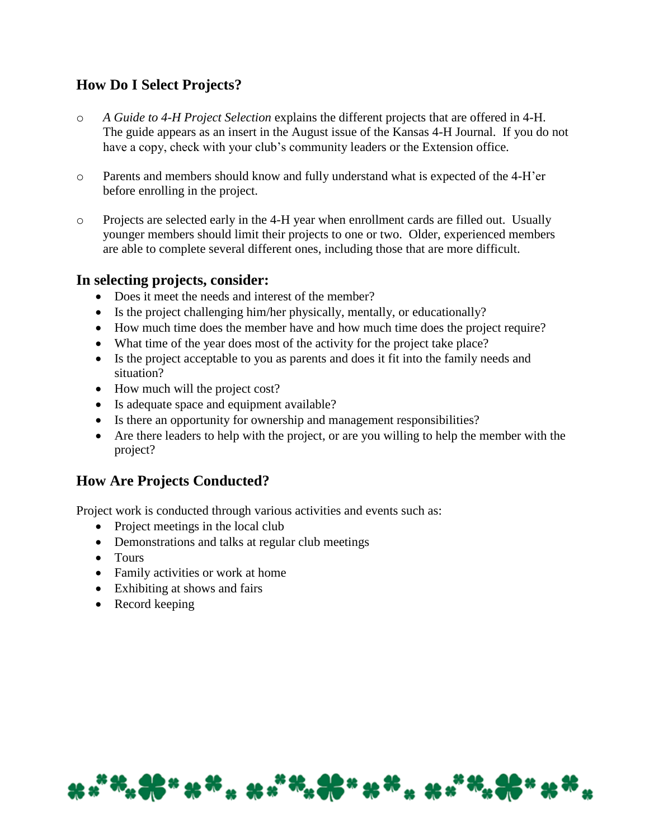# **How Do I Select Projects?**

- o *A Guide to 4-H Project Selection* explains the different projects that are offered in 4-H. The guide appears as an insert in the August issue of the Kansas 4-H Journal. If you do not have a copy, check with your club's community leaders or the Extension office.
- o Parents and members should know and fully understand what is expected of the 4-H'er before enrolling in the project.
- o Projects are selected early in the 4-H year when enrollment cards are filled out. Usually younger members should limit their projects to one or two. Older, experienced members are able to complete several different ones, including those that are more difficult.

### **In selecting projects, consider:**

- Does it meet the needs and interest of the member?
- Is the project challenging him/her physically, mentally, or educationally?
- How much time does the member have and how much time does the project require?
- What time of the year does most of the activity for the project take place?
- Is the project acceptable to you as parents and does it fit into the family needs and situation?
- How much will the project cost?
- Is adequate space and equipment available?
- Is there an opportunity for ownership and management responsibilities?
- Are there leaders to help with the project, or are you willing to help the member with the project?

# **How Are Projects Conducted?**

Project work is conducted through various activities and events such as:

- Project meetings in the local club
- Demonstrations and talks at regular club meetings
- Tours
- Family activities or work at home
- Exhibiting at shows and fairs
- Record keeping

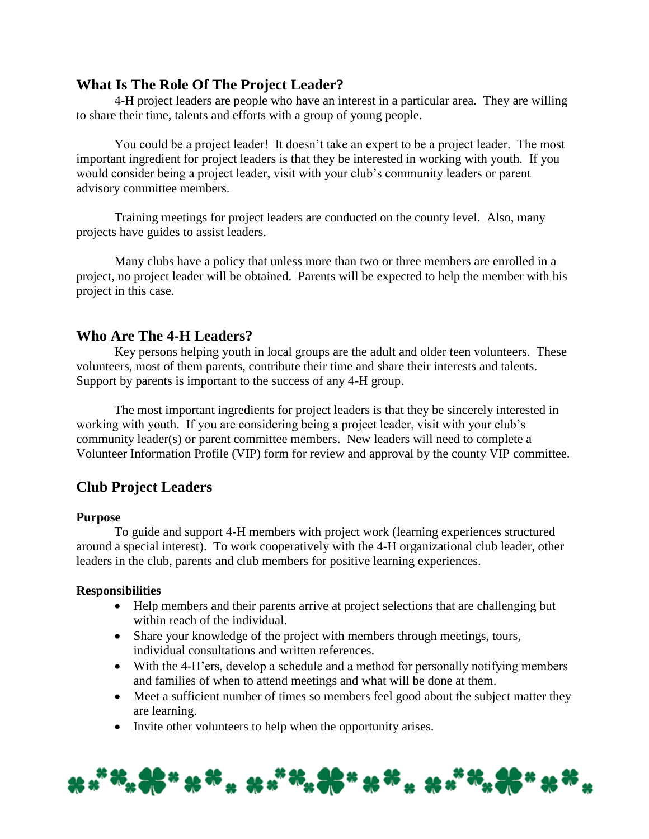### **What Is The Role Of The Project Leader?**

4-H project leaders are people who have an interest in a particular area. They are willing to share their time, talents and efforts with a group of young people.

You could be a project leader! It doesn't take an expert to be a project leader. The most important ingredient for project leaders is that they be interested in working with youth. If you would consider being a project leader, visit with your club's community leaders or parent advisory committee members.

Training meetings for project leaders are conducted on the county level. Also, many projects have guides to assist leaders.

Many clubs have a policy that unless more than two or three members are enrolled in a project, no project leader will be obtained. Parents will be expected to help the member with his project in this case.

### **Who Are The 4-H Leaders?**

Key persons helping youth in local groups are the adult and older teen volunteers. These volunteers, most of them parents, contribute their time and share their interests and talents. Support by parents is important to the success of any 4-H group.

The most important ingredients for project leaders is that they be sincerely interested in working with youth. If you are considering being a project leader, visit with your club's community leader(s) or parent committee members. New leaders will need to complete a Volunteer Information Profile (VIP) form for review and approval by the county VIP committee.

### **Club Project Leaders**

#### **Purpose**

To guide and support 4-H members with project work (learning experiences structured around a special interest). To work cooperatively with the 4-H organizational club leader, other leaders in the club, parents and club members for positive learning experiences.

#### **Responsibilities**

- Help members and their parents arrive at project selections that are challenging but within reach of the individual.
- Share your knowledge of the project with members through meetings, tours, individual consultations and written references.
- With the 4-H'ers, develop a schedule and a method for personally notifying members and families of when to attend meetings and what will be done at them.
- Meet a sufficient number of times so members feel good about the subject matter they are learning.
- Invite other volunteers to help when the opportunity arises.